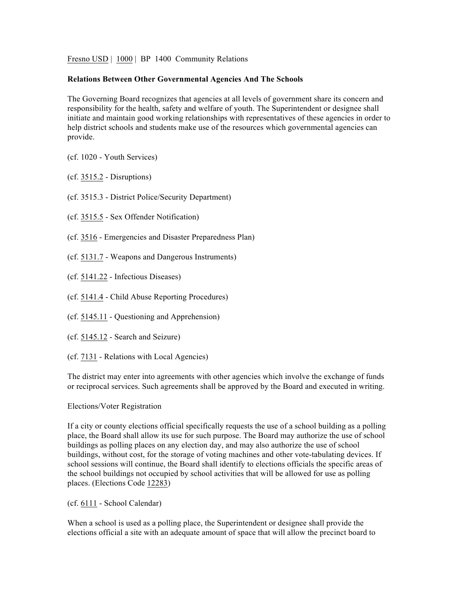Fresno USD | 1000 | BP 1400 Community Relations

## **Relations Between Other Governmental Agencies And The Schools**

The Governing Board recognizes that agencies at all levels of government share its concern and responsibility for the health, safety and welfare of youth. The Superintendent or designee shall initiate and maintain good working relationships with representatives of these agencies in order to help district schools and students make use of the resources which governmental agencies can provide.

- (cf. 1020 Youth Services)
- (cf. 3515.2 Disruptions)
- (cf. 3515.3 District Police/Security Department)
- (cf. 3515.5 Sex Offender Notification)
- (cf. 3516 Emergencies and Disaster Preparedness Plan)
- (cf. 5131.7 Weapons and Dangerous Instruments)
- (cf. 5141.22 Infectious Diseases)
- (cf. 5141.4 Child Abuse Reporting Procedures)
- (cf. 5145.11 Questioning and Apprehension)
- (cf. 5145.12 Search and Seizure)
- (cf. 7131 Relations with Local Agencies)

The district may enter into agreements with other agencies which involve the exchange of funds or reciprocal services. Such agreements shall be approved by the Board and executed in writing.

## Elections/Voter Registration

If a city or county elections official specifically requests the use of a school building as a polling place, the Board shall allow its use for such purpose. The Board may authorize the use of school buildings as polling places on any election day, and may also authorize the use of school buildings, without cost, for the storage of voting machines and other vote-tabulating devices. If school sessions will continue, the Board shall identify to elections officials the specific areas of the school buildings not occupied by school activities that will be allowed for use as polling places. (Elections Code 12283)

(cf. 6111 - School Calendar)

When a school is used as a polling place, the Superintendent or designee shall provide the elections official a site with an adequate amount of space that will allow the precinct board to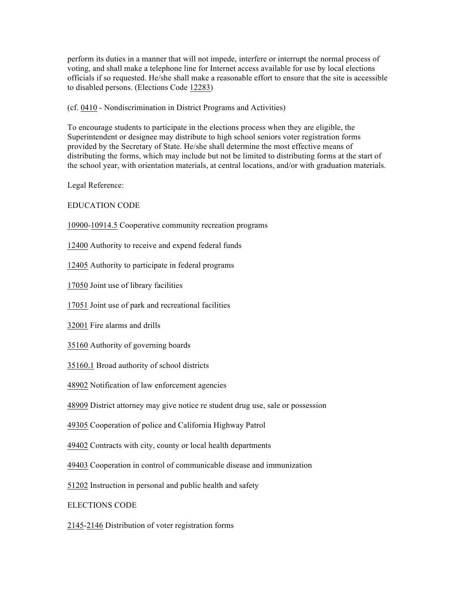perform its duties in a manner that will not impede, interfere or interrupt the normal process of voting, and shall make a telephone line for Internet access available for use by local elections officials if so requested. He/she shall make a reasonable effort to ensure that the site is accessible to disabled persons. (Elections Code 12283)

(cf. 0410 - Nondiscrimination in District Programs and Activities)

To encourage students to participate in the elections process when they are eligible, the Superintendent or designee may distribute to high school seniors voter registration forms provided by the Secretary of State. He/she shall determine the most effective means of distributing the forms, which may include but not be limited to distributing forms at the start of the school year, with orientation materials, at central locations, and/or with graduation materials.

Legal Reference:

EDUCATION CODE

10900-10914.5 Cooperative community recreation programs

12400 Authority to receive and expend federal funds

12405 Authority to participate in federal programs

17050 Joint use of library facilities

17051 Joint use of park and recreational facilities

32001 Fire alarms and drills

35160 Authority of governing boards

35160.1 Broad authority of school districts

48902 Notification of law enforcement agencies

48909 District attorney may give notice re student drug use, sale or possession

49305 Cooperation of police and California Highway Patrol

49402 Contracts with city, county or local health departments

49403 Cooperation in control of communicable disease and immunization

51202 Instruction in personal and public health and safety

ELECTIONS CODE

2145-2146 Distribution of voter registration forms